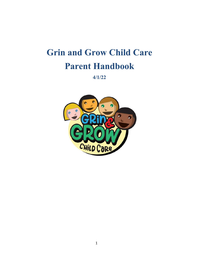# **Grin and Grow Child Care Parent Handbook**

**4/1/22**

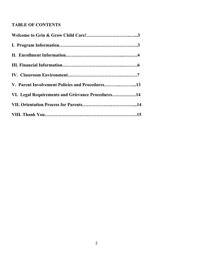# **TABLE OF CONTENTS**

| V. Parent Involvement Policies and Procedures13   |
|---------------------------------------------------|
| VI. Legal Requirements and Grievance Procedures14 |
|                                                   |
|                                                   |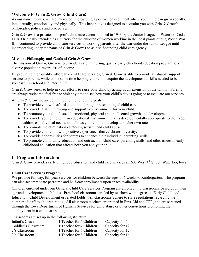# **Welcome to Grin & Grow Child Care!**

As our name implies, we are interested in providing a positive environment where your child can grow socially, intellectually, emotionally and physically. This handbook is designed to acquaint you with Grin & Grow's philosophy, policies and procedures.

Grin & Grow is a private, non-profit child care center founded in 1943 by the Junior League of Waterloo-Cedar Falls. Originally intended as a nursery for the children of women working in the local plants during World War II, it continued to provide child care services to working parents after the war under the Junior League until incorporating under the name of Grin & Grow Ltd as a self-standing child care agency.

#### **Mission, Philosophy and Goals of Grin & Grow**

The mission of Grin & Grow is to provide a safe, nurturing, quality early childhood education program to a diverse population regardless of income.

By providing high quality, affordable child care services, Grin & Grow is able to provide a valuable support service to parents, while at the same time helping your child acquire the developmental skills needed to be successful in school and later in life.

Grin & Grow seeks to help in your efforts to raise your child by acting as an extension of the family. Parents are always welcome; feel free to visit any time to see how your child's day is going or to evaluate our services.

At Grin & Grow we are committed to the following goals:

- To provide you with affordable infant through preschool-aged child care.
- To provide a safe, nurturing and supportive environment for your child.
- To promote your child's social, emotional, physical and intellectual growth and development.
- To provide your child with an educational environment that is developmentally appropriate to their age, addresses individual needs, and allows your child to develop at his/her own rate.
- To promote the elimination of racism, sexism, and child abuse.
- To provide your child with positive experiences that celebrates diversity.
- To provide opportunities for parents to enhance their individual parenting skills.
- To promote community education and outreach on child care, parenting skills, and other issues in early childhood education that affects both you and your child.

# **I. Program Information**

Grin & Grow provides early childhood education and child care services at: 608 West 4<sup>th</sup> Street, Waterloo, Iowa.

#### **Child Care Services Program**

We provide full day, full year services for children between the ages of 6 weeks to Kindergarten. The program can also accommodate part-time and half-day enrollments upon space availability.

Children enrolled under our General Child Care Services Program are enrolled into classrooms based upon their age and developmental abilities. Preschool classrooms are led by teachers with degrees in Early Childhood Education, Child Development or related fields. All classrooms adhere to state regulations regarding the number of staff to children ratios. All classroom teachers are trained in First Aid and CPR, and are screened through the Iowa Department of Humans Services for child abuse or other convictions prohibiting their employment in a child care setting.

Classrooms are set up in the following structure:

| Infant's Classroom  | 1 Teacher for 4 Children | Capacity for 5  |
|---------------------|--------------------------|-----------------|
| Toddler's Classroom | 1 Teacher for 4 Children | Capacity for 12 |
| 2's Classroom       | 1 Teacher for 6 Children | Capacity for 12 |
| 3's Classroom       | 1 Teacher for 8 Children | Capacity for 16 |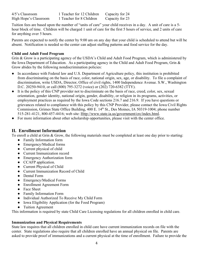| $4/5$ 's Classroom    | 1 Teacher for 12 Children | Capacity for 24 |
|-----------------------|---------------------------|-----------------|
| High Hope's Classroom | 1 Teacher for 8 Children  | Capacity for 23 |

Tuition fees are based upon the number of "units of care" your child receives in a day. A unit of care is a 5 hour block of time. Children will be charged 1 unit of care for the first 5 hours of service, and 2 units of care for anything over 5 hours.

Parents are expected to notify the center by 9:00 am on any day that your child is scheduled to attend but will be absent. Notification is needed so the center can adjust staffing patterns and food service for the day.

## **Child and Adult Food Program**

Grin & Grow is a participating agency of the USDA's Child and Adult Food Program, which is administered by the Iowa Department of Education. As a participating agency in the Child and Adult Food Program, Grin & Grow abides by the following nondiscrimination policies:

- In accordance with Federal law and U.S. Department of Agriculture policy, this institution is prohibited from discriminating on the basis of race, color, national origin, sex, age, or disability. To file a complaint of discrimination, write USDA, Director, Office of civil rights, 1400 Independence Avenue. S.W., Washington D.C. 20250-9410, or call (800) 795-3272 (voice) or (202) 720-6382 (TTY).
- It is the policy of this CNP provider not to discriminate on the basis of race, creed, color, sex, sexual orientation, gender identity, national origin, gender, disability, or religion in its programs, activities, or employment practices as required by the Iowa Code sections 216.7 and 216.9. If you have questions or grievances related to compliance with this policy by this CNP Provider, please contact the Iowa Civil Rights Commission, Grimes State Office Building, 400 E. 14<sup>th</sup> St., Des Moines, IA 50319-1004; phone number 515-281-4121, 800-457-4416; web site: [Http://www.state.ia.us/government/crc/index.html.](http://www.state.ia.us/government/crc/index.html)
- For more information about other scholarship opportunities, please visit with the center office.

# **II. Enrollment Information**

To enroll a child at Grin & Grow, the following materials must be completed at least one day prior to starting:

- Family Information form
- Emergency/Medical forms
- Current physical of child
- Current Immunization record
- Emergency Authorization form
- CCAFP application.
- Current Physical of Child
- Current Immunization Record of Child
- Dental Form
- Emergency/Medical Forms
- Enrollment Agreement Form
- Face Sheet
- Family Information Form
- Individual Authorized To Receive My Child Form
- Iowa Eligibility Application (for the Food Program)
- Tuition Agreement

This information is required by state Child Care Licensing regulations for all children enrolled in child care.

#### **Immunization and Physical Requirements**

State law requires that all children enrolled in child care have current immunization records on file with the center. State regulations also require that all children enrolled have an annual physical on file. Parents are asked to provide proof of immunizations and a current physical at the time of enrollment. Failure to provide the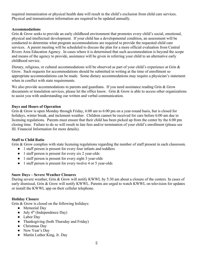required immunization or physical health data will result in the child's exclusion from child care services. Physical and immunization information are required to be updated annually.

#### **Accommodations**

Grin & Grow seeks to provide an early childhood environment that promotes every child's social, emotional, physical and intellectual development. If your child has a developmental condition, an assessment will be conducted to determine what program accommodations are required to provide the requested child care services. A parent meeting will be scheduled to discuss the plan for a more official evaluation from Central Rivers Area Education Agency. In cases where it is determined that such accommodation is beyond the scope and means of the agency to provide, assistance will be given in referring your child to an alternative early childhood service.

Dietary, religious, or cultural accommodations will be observed as part of your child's experience at Grin & Grow. Such requests for accommodations should be submitted in writing at the time of enrollment so appropriate accommodations can be made. Some dietary accommodations may require a physician's statement when in conflict with state requirements.

We also provide accommodations to parents and guardians. If you need assistance reading Grin & Grow documents or translation services, please let the office know. Grin & Grow is able to access other organizations to assist you with understanding our written and verbal communication.

#### **Days and Hours of Operation**

Grin & Grow is open Monday through Friday, 6:00 am to 6:00 pm on a year-round basis, but is closed for holidays, winter break, and inclement weather. Children cannot be received for care before 6:00 am due to licensing regulations. Parents must ensure that their child has been picked up from the center by the 6:00 pm closing time. Failure to do so will result in late fees and/or termination of your child's enrollment (please see III. Financial Information for more details).

#### **Staff to Child Ratio**

Grin & Grow complies with state licensing regulations regarding the number of staff present in each classroom.

- 1 staff person is present for every four infants and toddlers
- 1 staff person is present for every six 2 year-olds
- 1 staff person is present for every eight 3 year-olds
- 1 staff person is present for every twelve 4 or 5 year-olds

#### **Snow Days – Severe Weather Closures**

During severe weather, Grin & Grow will notify KWWL by 5:30 am about a closure of the centers. In cases of early dismissal, Grin & Grow will notify KWWL. Parents are urged to watch KWWL on television for updates or install the KWWL app on their cellular telephone.

# **Holiday Closure**

Grin & Grow is closed on the following holidays:

- Memorial Day
- $\bullet$  July 4<sup>th</sup> (Independence Day)
- Labor Day
- Thanksgiving (both Thursday and Friday)
- Christmas Day
- New Year's Day
- Martin Luther King, Jr. Day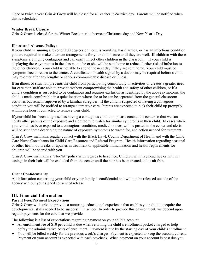Once or twice a year Grin & Grow will be closed for a Teacher In-Service day. Parents will be notified when this is scheduled.

#### **Winter Break Closure**

Grin & Grow is closed for the Winter Break period between Christmas day and New Year's Day.

#### **Illness and Absence Policy:**

If your child is running a fever of 100 degrees or more, is vomiting, has diarrhea, or has an infectious condition you are required to make alternate arrangements for your child's care until they are well. Ill children with these symptoms are highly contagious and can easily infect other children in the classroom. If your child is displaying these symptoms in the classroom, he or she will be sent home to reduce further risk of infection to the other children. Your child is not able to attend the next day if they are sent home. Your child must be symptom-free to return to the center. A certificate of health signed by a doctor may be required before a child may re-enter after any lengthy or serious communicable disease or illness.

If an illness or situation prevents the child from participating comfortably in activities or creates a greater need for care than staff are able to provide without compromising the health and safety of other children, or if a child's condition is suspected to be contagious and requires exclusion as identified by the above symptoms, the child is made comfortable in a quiet location where she or he can be separated from the general classroom activities but remain supervised by a familiar caregiver. If the child is suspected of having a contagious condition you will be notified to arrange alternative care. Parents are expected to pick their child up promptly within one hour if contacted to remove their child.

If your child has been diagnosed as having a contagious condition, please contact the center so that we can notify other parents of the exposure and alert them to watch for similar symptoms in their child. In cases where your child has been exposed to a contagious condition, medical notices will be posted in the center and alerts will be sent home describing the nature of exposure, symptoms to watch for, and action needed for treatment.

Grin & Grow maintains regular contact with the Black Hawk County Department of Health and with the Child Care Nurse Consultants for Child Care Resource and Referral Program. Health information regarding seasonal or other health outbreaks or updates in treatment or applicable immunization and health requirements for children will be shared with you.

Grin & Grow maintains a "No-Nit" policy with regards to head lice. Children with live head lice or with nit casings in their hair will be excluded from the center until the hair has been treated and is nit free.

# **Client Confidentiality**

All information concerning your child or your family is confidential and will not be released outside of the agency without your signed consent of release.

# **III. Financial Information**

# **Parent Fees/Payment Expectations**

Grin & Grow will strive to provide a nurturing, educational experience that enables your child to acquire the developmental skills needed to be successful in school. In order to provide this environment, we depend upon regular payments for the care that we provide.

The following is a list of expectations regarding payment on your child's account.

- An enrollment fee of \$10 per child is due when returning the child's enrollment packet charged to help defray the administrative costs of enrollment. Payment is due by the starting day of your child's enrollment.
- You will be billed weekly for the previous week's charges. Payment is expected to keep the account current. Payment on your account is expected with each paycheck. When payment on your account is past due you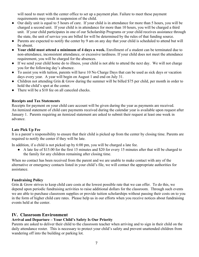will need to meet with the center office to set up a payment plan. Failure to meet these payment requirements may result in suspension of the child.

- Our daily unit is equal to 5 hours of care. If your child is in attendance for more than 5 hours, you will be charged a second unit. If your child is in attendance for more than 10 hours, you will be charged a third unit. If your child participates in one of our Scholarship Programs or your child receives assistance through the state, the unit of service you are billed for will be determined by the rules of that funding source.
- Parents are expected to notify the center by 9 am on any day that your child is scheduled to attend but will be absent.
- **Your child must attend a minimum of 4 days a week.** Enrollment of a student can be terminated due to non-attendance, inconsistent attendance, or excessive tardiness. If your child does not meet the attendance requirement, you will be charged for the absences.
- If we send your child home do to illness, your child is not able to attend the next day. We will not charge you for the following day's absence.
- To assist you with tuition, parents will have 10 No Charge Days that can be used as sick days or vacation days every year. A year will begin on August 1 and end on July 31.
- Children not attending Grin & Grow during the summer will be billed \$75 per child, per month in order to hold the child's spot at the center.
- There will be a \$10 fee on all canceled checks.

#### **Receipts and Tax Statements**

Receipts for payment on your child care account will be given during the year as payments are received. An itemized statement of child care payments received during the calendar year is available upon request after January 1. Parents requiring an itemized statement are asked to submit their request at least one week in advance.

# **Late Pick Up Fee**

It is a parent's responsibility to ensure that their child is picked up from the center by closing time. Parents are required to notify the center if they will be late.

In addition, if a child is not picked up by 6:00 pm, you will be charged a late fee.

• A late fee of \$15.00 for the first 15 minutes and \$20 for every 15 minutes after that will be charged to the family for any children remaining after closing time.

When no contact has been received from the parent and we are unable to make contact with any of the alternative or emergency contacts listed in your child's file, we will contact the appropriate authorities for assistance.

#### **Fundraising Policy**

Grin & Grow strives to keep child care costs at the lowest possible rate that we can offer. To do this, we depend upon periodic fundraising activities to raise additional dollars for the classroom. Through such events we are able to purchase classroom supplies or provide tuition scholarships without passing their costs on to you in the form of higher child care rates. Please help us in our efforts when you receive notices about fundraising events held at the center.

# **IV. Classroom Environment**

# **Arrival and Departure – Your Child's Safety Is Our Priority**

Parents are asked to deliver their child to the classroom teacher when arriving and to sign in their child on the daily attendance roster. This is necessary to protect your child's safety and prevent unattended children from wandering off into the building or parking lot.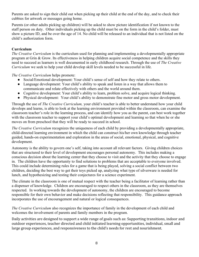Parents are asked to sign their child out when picking up their child at the end of the day, and to check their cubbies for artwork or messages going home.

Parents (or other adults picking up children) will be asked to show picture identification if not known to the staff person on duty. Other individuals picking up the child must be on the form in the child's folder, must show a picture ID, and be over the age of 14. No child will be released to an individual that is not listed on the child's authorization form.

## **Curriculum**

*The Creative Curriculum* is the curriculum used for planning and implementing a developmentally appropriate program at Grin & Grow. Its effectiveness in helping children acquire social competence and the skills they need to succeed as learners is well documented in early childhood research. Through the use of *The Creative Curriculum* we seek to help your child develop skill levels needed to be successful in life.

*The Creative Curriculum* helps promote:

- Social/Emotional development: Your child's sense of self and how they relate to others.
- Language development: Your child's ability to speak and listen in a way that allows them to communicate and relate effectively with others and the world around them.
- Cognitive development: Your child's ability to learn, problem solve, and acquire logical thinking.
- Physical development: Your child's ability to demonstrate fine motor and gross motor development.

Through the use of *The Creative Curriculum,* your child's teacher is able to better understand how your child develops and learns, is able to look at the learning environment provided within the classroom, can examine the classroom teacher's role in the learning process, and can identify how you as the parent, can best work together with the classroom teacher to support your child's optimal development and learning so that when he or she moves on from preschool that they will be ready to succeed in school.

*The Creative Curriculum* recognizes the uniqueness of each child by providing a developmentally appropriate, child-directed learning environment in which the child can construct his/her own knowledge through teacher guided, hands-on experimentation and exploration in the areas of social, emotional, physical, and cognitive development.

Autonomy is the ability to govern one's self, taking into account all relevant factors. Giving children choices that are structured to their level of development encourages personal autonomy. This includes making a conscious decision about the learning center that they choose to visit and the activity that they choose to engage in. The children have the opportunity to find solutions to problems that are acceptable to everyone involved. This could include determining rules for a game that is being played, solving a social conflict between two children, deciding the best way to get their toys picked up, analyzing what type of silverware is needed for lunch, and hypothesizing and testing their conjectures for a science experiment.

The climate in the classroom is one of mutual respect with the teacher being a facilitator of learning rather than a dispenser of knowledge. Children are encouraged to respect others in the classroom, as they are themselves respected. In working towards the development of autonomy, the children are encouraged to become responsible for their own behavior and make decisions reflecting that responsibility. This guidance approach incorporates the use of encouragement and natural or logical consequences.

*The Creative Curriculum* also recognizes the importance of family in the development of each child and welcomes the involvement of parents and family members in the program.

Daily activities are designed to support a wide range of goals such as: Supporting transitions, indoor and outdoor experiences, teacher directed and child initiated learning opportunities, individual, small and large group experiences, and responsiveness to the child's needs for rest and nourishment.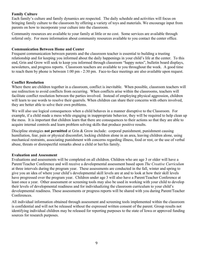#### **Family Culture**

Each family's culture and family dynamics are respected. The daily schedule and activities will focus on bringing family culture to the classroom by offering a variety of toys and materials. We encourage input from parents on how to incorporate your culture into the classroom.

Community resources are available to your family at little or no cost. Some services are available through referral only. For more information about community resources available to you contact the center office.

#### **Communication Between Home and Center**

Frequent communication between parents and the classroom teacher is essential to building a trusting relationship and for keeping you informed about the daily happenings in your child's life at the center. To this end, Grin and Grow will seek to keep you informed through classroom "happy notes", bulletin board displays, newsletters, and progress reports. Classroom teachers are available to you throughout the week. A good time to reach them by phone is between 1:00 pm - 2:30 pm. Face-to-face meetings are also available upon request.

#### **Conflict Resolution**

Where there are children together in a classroom, conflict is inevitable. When possible, classroom teachers will use redirection to avoid conflicts from occurring. When conflicts arise within the classrooms, teachers will facilitate conflict resolution between the parties involved. Instead of employing physical aggression, children will learn to use words to resolve their quarrels. When children can share their concerns with others involved, they are better able to solve their own problems.

We will also use logical consequences when a child behaves in a manner disruptive to the Classroom. For example, if a child made a mess while engaging in inappropriate behavior, they will be required to help clean up the mess. It is important that children learn that there are consequences to their actions so that they are able to acquire internal controls and learn problem solving skills that produce positive results.

Discipline strategies **not permitted** at Grin & Grow include: corporal punishment, punishment causing humiliation, fear, pain or physical discomfort, locking children alone in an area, leaving children alone, using mechanical restraints, associating punishment with concerns regarding illness, food or rest, or the use of verbal abuse, threats or disrespectful remarks about a child or her/his family.

#### **Evaluation and Assessment**

Evaluations and assessments will be completed on all children. Children who are age 3 or older will have a Parent/Teacher Conference and will receive a developmental assessment based upon *The Creative Curriculum* at three intervals during the program year. These assessments are conducted in the fall, winter and spring to give you an idea of where your child's developmental skill levels are at and to look at how their skill levels have progressed over the program year. Children under age 3 will also have a Parent/Teacher Conference at least once a year. Other assessment or screening tools may also be used in working with your child to develop their levels of developmental readiness and for individualizing the classroom curriculum to your child's developmental readiness. These assessments or progress reports will be shared with you during Parent/Teacher Conferences.

All individual information obtained through assessment and screening tools implemented within the classroom is confidential and will not be released without the expressed written consent of the parent. Group results not identifying individual children may be released for reporting purposes to the state of Iowa or approved funding sources for research purposes.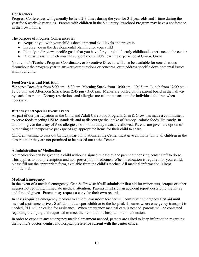#### **Conferences**

Progress Conferences will generally be held 2-3 times during the year for 3-5 year olds and 1 time during the year for 6 weeks-2 year olds. Parents with children in the Voluntary Preschool Program may have a conference in their own home.

The purpose of Progress Conferences is:

- Acquaint you with your child's developmental skill levels and progress
- Involve you in the developmental planning for your child
- Identify and review specific goals that you have for your child's early childhood experience at the center
- Discuss ways in which you can support your child's learning experience at Grin & Grow

Your child's Teacher, Program Coordinator, or Executive Director will also be available for consultations throughout the program year to answer your questions or concerns, or to address specific developmental issues with your child.

#### **Food Services and Nutrition**

We serve Breakfast from 8:00 am - 8:30 am, Morning Snack from 10:00 am - 10:15 am, Lunch from 12:00 pm - 12:30 pm, and Afternoon Snack from 2:45 pm - 3:00 pm. Menus are posted on the parent board in the hallway by each classroom. Dietary restrictions and allergies are taken into account for individual children when necessary.

#### **Birthday and Special Event Treats**

As part of our participation in the Child and Adult Care Food Program, Grin & Grow has made a commitment to serve foods meeting USDA standards and to discourage the intake of "empty" caloric foods like candy. In addition, given the array of food allergies, no food birthday treats are allowed. Parents are given the option of purchasing an inexpensive package of age appropriate items for their child to share.

Children wishing to pass out birthday/party invitations at the Center must give an invitation to all children in the classroom or they are not permitted to be passed out at the Centers.

#### **Administration of Medication**

No medication can be given to a child without a signed release by the parent authorizing center staff to do so. This applies to both prescription and non-prescription medicines. When medication is required for your child, please fill out the appropriate form, available from the child's teacher. All medical information is kept confidential.

#### **Medical Emergency**

In the event of a medical emergency, Grin & Grow staff will administer first aid for minor cuts, scrapes or other injuries not requiring immediate medical attention. Parents must sign an accident report describing the injury and first aid given. Parents may request a copy for their own records.

In cases requiring emergency medical treatment, classroom teacher will administer emergency first aid until medical assistance arrives. Staff do not transport children to the hospital. In cases where emergency transport is needed, 911 will be called for assistance. When emergency medical care is needed, parents will be contacted regarding the injury and requested to meet their child at the hospital or clinic location.

In order to expedite any emergency medical treatment needed, parents are asked to keep information regarding their child's doctor, dentist and hospital preference current with the center office.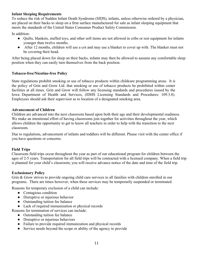#### **Infant Sleeping Requirements**

To reduce the risk of Sudden Infant Death Syndrome (SIDS), infants, unless otherwise ordered by a physician, are placed on their backs to sleep on a firm surface manufactured for sale as infant sleeping equipment that meets the standards of the United States Consumer Product Safety Commission.

In addition:

- Quilts, blankets, stuffed toys, and other soft items are not allowed in cribs or rest equipment for infants younger than twelve months.
- After 12 months, children will use a cot and may use a blanket to cover up with. The blanket must not be covering their head.

After being placed down for sleep on their backs, infants may then be allowed to assume any comfortable sleep position when they can easily turn themselves from the back position.

#### **Tobacco-free/Nicotine-free Policy**

State regulations prohibit smoking or use of tobacco products within childcare programming areas. It is the policy of Grin and Grow Ltd. that smoking or use of tobacco products be prohibited within center facilities at all times. Grin and Grow will follow any licensing standards and procedures issued by the Iowa Department of Health and Services, (IDHS Licensing Standards and Procedures: 109.3.8). Employees should ask their supervisor as to location of a designated smoking area.

#### **Advancement of Children**

Children are advanced into the next classroom based upon both their age and their developmental readiness. We make an intentional effort of having classrooms join together for activities throughout the year, which allows children the opportunity to get to know all teachers in order to help with the transition to the next classroom.

Due to regulations, advancement of infants and toddlers will be different. Please visit with the center office if you have questions or concerns.

# **Field Trips**

Classroom field trips occur throughout the year as part of our educational program for children between the ages of 2-5 years. Transportation for all field trips will be contracted with a licensed company. When a field trip is planned for your child's classroom, you will receive advance notice of the date and time of the field trip.

#### **Exclusionary Policy**

Grin & Grow strives to provide ongoing child care services to all families with children enrolled in our programs. There are times however, when these services may be temporarily suspended or terminated.

Reasons for temporary exclusion of a child can include:

- Contagious condition
- Disruptive or injurious behavior
- Outstanding tuition fee balance
- Lack of required immunization or physical records

Reasons for termination of services can include:

- Outstanding tuition fee balance
- Disruptive or injurious behaviors
- Failure to provide required immunization and physical records
- Service needs beyond the scope or ability of the agency to provide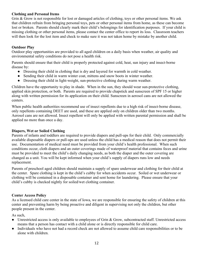#### **Clothing and Personal Items**

Grin & Grow is not responsible for lost or damaged articles of clothing, toys or other personal items. We ask that children refrain from bringing personal toys, pets or other personal items from home, as these can become lost or broken. Parents should clearly mark their child's belongings for identification purposes. If your child is missing clothing or other personal items, please contact the center office to report its loss. Classroom teachers will then look for the lost item and check to make sure it was not taken home by mistake by another child.

#### **Outdoor Play**

Outdoor play opportunities are provided to all aged children on a daily basis when weather, air quality and environmental safety conditions do not pose a health risk.

Parents should ensure that their child is properly protected against cold, heat, sun injury and insect-borne disease by:

- Dressing their child in clothing that is dry and layered for warmth in cold weather.
- Sending their child in warm winter coat, mittens and snow boots in winter weather.
- Dressing their child in light-weight, sun-protective clothing during warm weather.

Children have the opportunity to play in shade. When in the sun, they should wear sun-protective clothing, applied skin protection, or both. Parents are required to provide chapstick and sunscreen of SPF 15 or higher along with written permission for its application on their child. Sunscreen in aerosol cans are not allowed the centers.

When public health authorities recommend use of insect repellents due to a high risk of insect-borne disease, only repellents containing DEET are used, and these are applied only on children older than two months. Aerosol cans are not allowed. Insect repellent will only be applied with written parental permission and shall be applied no more than once a day.

#### **Diapers, Wet or Soiled Clothing**

Parents of infants and toddlers are required to provide diapers and pull-ups for their child. Only commercially available disposable diapers or pull-ups are used unless the child has a medical reason that does not permit their use. Documentation of medical need must be provided from your child's health professional. When such conditions occur, cloth diapers and an outer coverings made of waterproof material that contains feces and urine must be provided to meet the child's daily changing needs, as both the diaper and the outer covering are changed as a unit. You will be kept informed when your child's supply of diapers runs low and needs replacement.

Parents of preschool aged children should maintain a supply of spare underwear and clothing for their child at the center. Spare clothing is kept in the child's cubby for when accidents occur. Soiled or wet underwear or clothing will be contained in a disposable container and sent home for laundering. Please ensure that your child's cubby is checked nightly for soiled/wet clothing container.

# **Center Access Policy**

As a licensed child care center in the state of Iowa, we are responsible for ensuring the safety of children at this center and preventing harm by being proactive and diligent in supervising not only the children, but other people present in the center.

As such,

- Unrestricted access is only available to employees of Grin & Grow, subcontracted staff. Unrestricted access means that a person has contact with a child alone or is directly responsible for child care.
- Individuals who have not had a record check are not allowed to assume child care responsibilities or to be alone with children.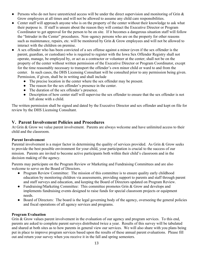- Persons who do not have unrestricted access will be under the direct supervision and monitoring of Grin  $\&$ Grow employees at all times and will not be allowed to assume any child care responsibilities.
- Center staff will approach anyone who is on the property of the center without their knowledge to ask what their purpose is. If staff is unsure about the reason they will contact the Executive Director or Program Coordinator to get approval for the person to be on site. If it becomes a dangerous situation staff will follow the "Intruder in the Center" procedures. Non–agency persons who are on the property for other reasons such as maintenance, repairs, etc. will be monitored by Grin & Grow employees and will not be allowed to interact with the children on premise.
- A sex offender who has been convicted of a sex offense against a minor (even if the sex offender is the parent, guardian, or custodian) who is required to register with the Iowa Sex Offender Registry shall not operate, manage, be employed by, or act as a contractor or volunteer at the center; shall not be on the property of the center without written permission of the Executive Director or Program Coordinator, except for the time reasonably necessary to transport the offender's own minor child or ward to and from the center. In such cases, the DHS Licensing Consultant will be consulted prior to any permission being given. Permission, if given, shall be in writing and shall include
	- The precise location in the center where the sex offender may be present.
	- The reason for the sex offender's presence in the center.
	- The duration of the sex offender's presence.
	- Description of how center staff will supervise the sex offender to ensure that the sex offender is not left alone with a child.

The written permission shall be signed and dated by the Executive Director and sex offender and kept on file for review by the DHS Licensing Consultant.

# **V. Parent Involvement Policies and Procedures**

At Grin & Grow we value parent involvement. Parents are always welcome and have unlimited access to their child and the classroom.

#### **Parent Involvement**

Parental involvement is a major factor in determining the quality of services provided. As Grin & Grow seeks to provide the best possible environment for your child, your participation is crucial to the success of our mission. Parents are invited to become active participants both within their child's classroom and in the decision making of the agency.

Parents may participate on the Program Review or Marketing and Fundraising Committees and are also welcome to serve on the Board of Directors.

- Program Review Committee: The mission of this committee is to ensure quality early childhood education by monitoring children via assessments, providing support to parents and staff through parent and staff surveys and education, and keeping the Board of Directors updated on Program Review.
- Fundraising/Marketing Committee: This committee promotes Grin & Grow and develops and implements fundraising events designed to raise funds for special classroom projects or equipment needs.
- Board of Directors: The board is the legal governing body of the agency, overseeing the general policies and fiscal operations of all agency services and programs.

#### **Program Evaluation**

Grin & Grow values parent involvement in the evaluation of our agency and program services. To this end, parents are asked to complete parent surveys distributed twice a year. Results of this survey will be tabulated and shared at both sites as to how parents in general view our services. We will also share with you plans being put in place to improve program services based upon the results of these annual parent evaluations. Please fill out and return your survey when you receive it in the fall and spring semesters.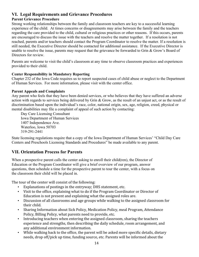# **VI. Legal Requirements and Grievance Procedures**

# **Parent Grievance Procedure**

Strong working relationships between the family and classroom teachers are key to a successful learning experience of the child. At times concerns or disagreements may arise between the family and the teachers regarding the care provided to the child, cultural or religious practices or other reasons. If this occurs, parents are encouraged to discuss the issue with the teachers and resolve the matter together. If a resolution is not reached, parents and/or teachers should contact the Program Coordinator to resolve the matter. If a resolution is still needed, the Executive Director should be contacted for additional assistance. If the Executive Director is unable to resolve the issue, parents may request that the grievance be forwarded to Grin & Grow's Board of Directors for review.

Parents are welcome to visit the child's classroom at any time to observe classroom practices and experiences provided to their child.

#### **Center Responsibility in Mandatory Reporting**

Chapter 232 of the Iowa Code requires us to report suspected cases of child abuse or neglect to the Department of Human Services. For more information, please visit with the center office.

#### **Parent Appeals and Complaints**

Any parent who feels that they have been denied services, or who believes that they have suffered an adverse action with regards to services being delivered by Grin & Grow, as the result of an unjust act, or as the result of discrimination based upon the individual's race, color, national origin, sex, age, religion, creed, physical or mental disabilities may file a complaint of appeal of such action by contacting:

Day Care Licensing Consultant Iowa Department of Human Services 1407 Independence Ave. Waterloo, Iowa 50703 319-291-2441

State licensing regulations require that a copy of the Iowa Department of Human Services' "Child Day Care Centers and Preschools Licensing Standards and Procedures" be made available to any parent.

# **VII. Orientation Process for Parents**

When a prospective parent calls the center asking to enroll their child(ren), the Director of Education or the Program Coordinator will give a brief overview of our program, answer questions, then schedule a time for the prospective parent to tour the center, with a focus on the classroom their child will be placed in.

The tour of the center will consist of the following:

- Explanations of postings in the entryway; DHS statement, etc.
- Visit to the office, explaining what to do if the Program Coordinator or Director of Education is not present and explaining what the assigned roles are.
- Discussion of all classrooms and age groups while walking to the assigned classroom for their child.
- Sharing Information about Sick Policy, Medication Policy, meal Program, Attendance Policy, Billing Policy, what parents need to provide, etc.
- Introducing teachers when entering the assigned classroom, sharing the teachers experience and strengths, then describing the daily schedule, room arrangement, and any additional environment information.
- While walking back to the office, the parent will be asked more specific details, dietary needs, drop off/pick up time, funding source, etc. Parents will be informed about the